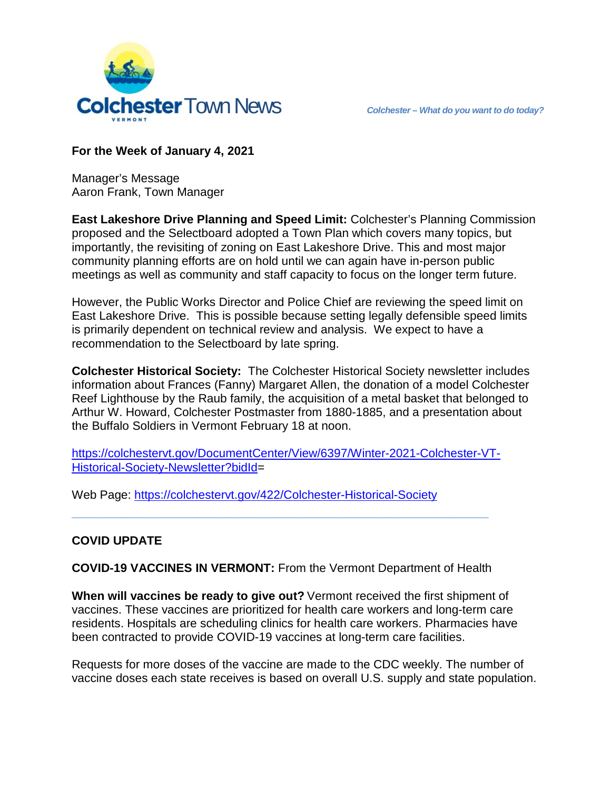

**For the Week of January 4, 2021**

Manager's Message Aaron Frank, Town Manager

**East Lakeshore Drive Planning and Speed Limit:** Colchester's Planning Commission proposed and the Selectboard adopted a Town Plan which covers many topics, but importantly, the revisiting of zoning on East Lakeshore Drive. This and most major community planning efforts are on hold until we can again have in-person public meetings as well as community and staff capacity to focus on the longer term future.

However, the Public Works Director and Police Chief are reviewing the speed limit on East Lakeshore Drive. This is possible because setting legally defensible speed limits is primarily dependent on technical review and analysis. We expect to have a recommendation to the Selectboard by late spring.

**Colchester Historical Society:** The Colchester Historical Society newsletter includes information about Frances (Fanny) Margaret Allen, the donation of a model Colchester Reef Lighthouse by the Raub family, the acquisition of a metal basket that belonged to Arthur W. Howard, Colchester Postmaster from 1880-1885, and a presentation about the Buffalo Soldiers in Vermont February 18 at noon.

[https://colchestervt.gov/DocumentCenter/View/6397/Winter-2021-Colchester-VT-](https://colchestervt.gov/DocumentCenter/View/6397/Winter-2021-Colchester-VT-Historical-Society-Newsletter?bidId)[Historical-Society-Newsletter?bidId=](https://colchestervt.gov/DocumentCenter/View/6397/Winter-2021-Colchester-VT-Historical-Society-Newsletter?bidId)

Web Page:<https://colchestervt.gov/422/Colchester-Historical-Society>

## **COVID UPDATE**

**COVID-19 VACCINES IN VERMONT:** From the Vermont Department of Health

**\_\_\_\_\_\_\_\_\_\_\_\_\_\_\_\_\_\_\_\_\_\_\_\_\_\_\_\_\_\_\_\_\_\_\_\_\_\_\_\_\_\_\_\_\_\_\_**

**When will vaccines be ready to give out?** Vermont received the first shipment of vaccines. These vaccines are prioritized for health care workers and long-term care residents. Hospitals are scheduling clinics for health care workers. Pharmacies have been contracted to provide COVID-19 vaccines at long-term care facilities.

Requests for more doses of the vaccine are made to the CDC weekly. The number of vaccine doses each state receives is based on overall U.S. supply and state population.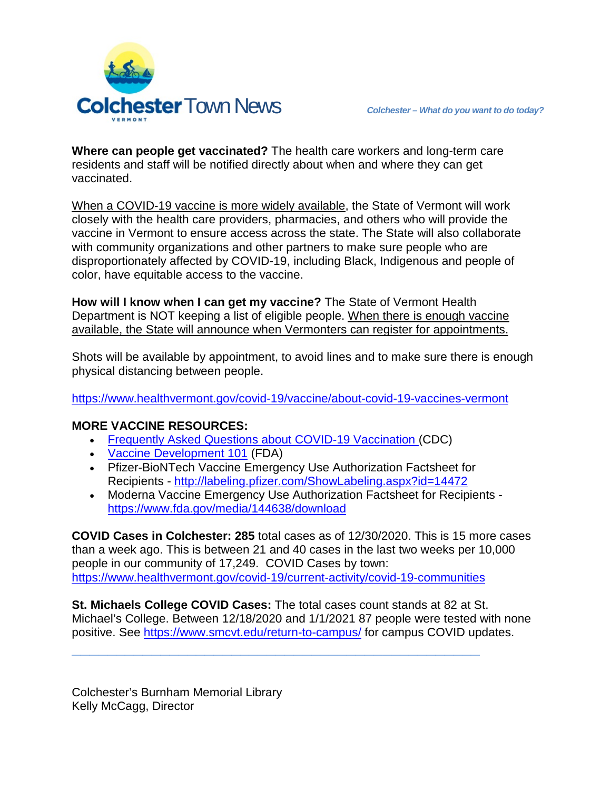

**Where can people get vaccinated?** The health care workers and long-term care residents and staff will be notified directly about when and where they can get vaccinated.

When a COVID-19 vaccine is more widely available, the State of Vermont will work closely with the health care providers, pharmacies, and others who will provide the vaccine in Vermont to ensure access across the state. The State will also collaborate with community organizations and other partners to make sure people who are disproportionately affected by COVID-19, including Black, Indigenous and people of color, have equitable access to the vaccine.

**How will I know when I can get my vaccine?** The State of Vermont Health Department is NOT keeping a list of eligible people. When there is enough vaccine available, the State will announce when Vermonters can register for appointments.

Shots will be available by appointment, to avoid lines and to make sure there is enough physical distancing between people.

<https://www.healthvermont.gov/covid-19/vaccine/about-covid-19-vaccines-vermont>

## **MORE VACCINE RESOURCES:**

- [Frequently Asked Questions about COVID-19 Vaccination](https://www.cdc.gov/coronavirus/2019-ncov/vaccines/faq.html) (CDC)
- [Vaccine Development 101](https://www.fda.gov/vaccines-blood-biologics/development-approval-process-cber/vaccine-development-101) (FDA)
- Pfizer-BioNTech Vaccine Emergency Use Authorization Factsheet for Recipients - <http://labeling.pfizer.com/ShowLabeling.aspx?id=14472>
- [Moderna Vaccine Emergency Use Authorization Factsheet for Recipients](https://www.fda.gov/media/144638/download) <https://www.fda.gov/media/144638/download>

**COVID Cases in Colchester: 285** total cases as of 12/30/2020. This is 15 more cases than a week ago. This is between 21 and 40 cases in the last two weeks per 10,000 people in our community of 17,249. COVID Cases by town: <https://www.healthvermont.gov/covid-19/current-activity/covid-19-communities>

**St. Michaels College COVID Cases:** The total cases count stands at 82 at St. Michael's College. Between 12/18/2020 and 1/1/2021 87 people were tested with none positive. See<https://www.smcvt.edu/return-to-campus/> for campus COVID updates.

**\_\_\_\_\_\_\_\_\_\_\_\_\_\_\_\_\_\_\_\_\_\_\_\_\_\_\_\_\_\_\_\_\_\_\_\_\_\_\_\_\_\_\_\_\_\_**

Colchester's Burnham Memorial Library Kelly McCagg, Director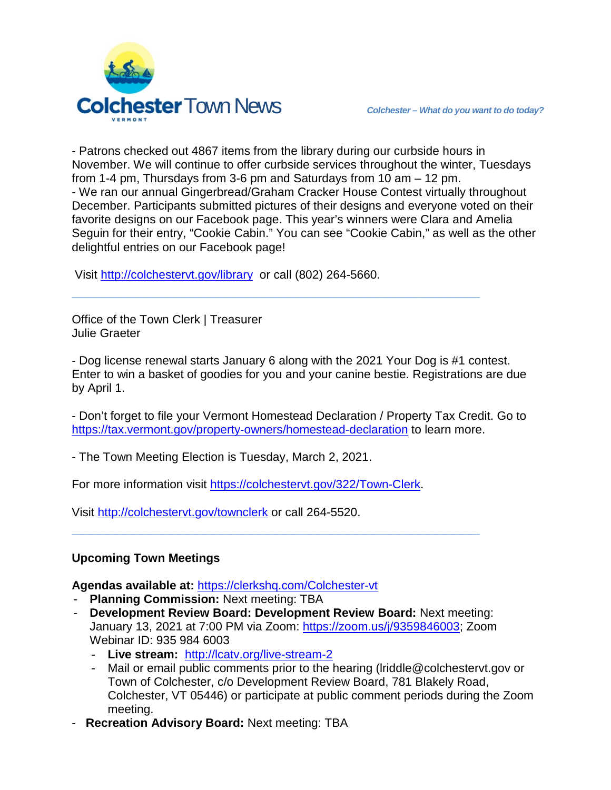

- Patrons checked out 4867 items from the library during our curbside hours in November. We will continue to offer curbside services throughout the winter, Tuesdays from 1-4 pm, Thursdays from 3-6 pm and Saturdays from 10 am – 12 pm. - We ran our annual Gingerbread/Graham Cracker House Contest virtually throughout December. Participants submitted pictures of their designs and everyone voted on their favorite designs on our Facebook page. This year's winners were Clara and Amelia Seguin for their entry, "Cookie Cabin." You can see "Cookie Cabin," as well as the other delightful entries on our Facebook page!

Visit<http://colchestervt.gov/library> or call (802) 264-5660.

Office of the Town Clerk | Treasurer Julie Graeter

- Dog license renewal starts January 6 along with the 2021 Your Dog is #1 contest. Enter to win a basket of goodies for you and your canine bestie. Registrations are due by April 1.

**\_\_\_\_\_\_\_\_\_\_\_\_\_\_\_\_\_\_\_\_\_\_\_\_\_\_\_\_\_\_\_\_\_\_\_\_\_\_\_\_\_\_\_\_\_\_**

- Don't forget to file your Vermont Homestead Declaration / Property Tax Credit. Go to <https://tax.vermont.gov/property-owners/homestead-declaration> to learn more.

- The Town Meeting Election is Tuesday, March 2, 2021.

For more information visit [https://colchestervt.gov/322/Town-Clerk.](https://colchestervt.gov/322/Town-Clerk)

Visit <http://colchestervt.gov/townclerk> or call 264-5520.

## **Upcoming Town Meetings**

**Agendas available at:** <https://clerkshq.com/Colchester-vt>

- **Planning Commission:** Next meeting: TBA
- **Development Review Board: Development Review Board:** Next meeting: January 13, 2021 at 7:00 PM via Zoom: [https://zoom.us/j/9359846003;](https://zoom.us/j/9359846003) Zoom Webinar ID: 935 984 6003

**\_\_\_\_\_\_\_\_\_\_\_\_\_\_\_\_\_\_\_\_\_\_\_\_\_\_\_\_\_\_\_\_\_\_\_\_\_\_\_\_\_\_\_\_\_\_**

- **Live stream:** <http://lcatv.org/live-stream-2>
- Mail or email public comments prior to the hearing (Iriddle@colchestervt.gov or Town of Colchester, c/o Development Review Board, 781 Blakely Road, Colchester, VT 05446) or participate at public comment periods during the Zoom meeting.
- **Recreation Advisory Board:** Next meeting: TBA